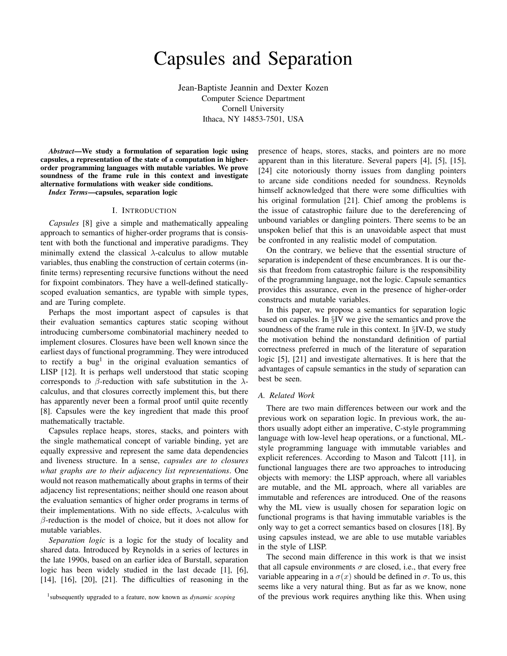# Capsules and Separation

Jean-Baptiste Jeannin and Dexter Kozen Computer Science Department Cornell University Ithaca, NY 14853-7501, USA

*Abstract*—We study a formulation of separation logic using capsules, a representation of the state of a computation in higherorder programming languages with mutable variables. We prove soundness of the frame rule in this context and investigate alternative formulations with weaker side conditions.

*Index Terms*—capsules, separation logic

# I. INTRODUCTION

*Capsules* [8] give a simple and mathematically appealing approach to semantics of higher-order programs that is consistent with both the functional and imperative paradigms. They minimally extend the classical  $\lambda$ -calculus to allow mutable variables, thus enabling the construction of certain coterms (infinite terms) representing recursive functions without the need for fixpoint combinators. They have a well-defined staticallyscoped evaluation semantics, are typable with simple types, and are Turing complete.

Perhaps the most important aspect of capsules is that their evaluation semantics captures static scoping without introducing cumbersome combinatorial machinery needed to implement closures. Closures have been well known since the earliest days of functional programming. They were introduced to rectify a bug<sup>1</sup> in the original evaluation semantics of LISP [12]. It is perhaps well understood that static scoping corresponds to  $\beta$ -reduction with safe substitution in the  $\lambda$ calculus, and that closures correctly implement this, but there has apparently never been a formal proof until quite recently [8]. Capsules were the key ingredient that made this proof mathematically tractable.

Capsules replace heaps, stores, stacks, and pointers with the single mathematical concept of variable binding, yet are equally expressive and represent the same data dependencies and liveness structure. In a sense, *capsules are to closures what graphs are to their adjacency list representations*. One would not reason mathematically about graphs in terms of their adjacency list representations; neither should one reason about the evaluation semantics of higher order programs in terms of their implementations. With no side effects,  $\lambda$ -calculus with  $\beta$ -reduction is the model of choice, but it does not allow for mutable variables.

*Separation logic* is a logic for the study of locality and shared data. Introduced by Reynolds in a series of lectures in the late 1990s, based on an earlier idea of Burstall, separation logic has been widely studied in the last decade [1], [6], [14], [16], [20], [21]. The difficulties of reasoning in the presence of heaps, stores, stacks, and pointers are no more apparent than in this literature. Several papers [4], [5], [15], [24] cite notoriously thorny issues from dangling pointers to arcane side conditions needed for soundness. Reynolds himself acknowledged that there were some difficulties with his original formulation [21]. Chief among the problems is the issue of catastrophic failure due to the dereferencing of unbound variables or dangling pointers. There seems to be an unspoken belief that this is an unavoidable aspect that must be confronted in any realistic model of computation.

On the contrary, we believe that the essential structure of separation is independent of these encumbrances. It is our thesis that freedom from catastrophic failure is the responsibility of the programming language, not the logic. Capsule semantics provides this assurance, even in the presence of higher-order constructs and mutable variables.

In this paper, we propose a semantics for separation logic based on capsules. In §IV we give the semantics and prove the soundness of the frame rule in this context. In §IV-D, we study the motivation behind the nonstandard definition of partial correctness preferred in much of the literature of separation logic [5], [21] and investigate alternatives. It is here that the advantages of capsule semantics in the study of separation can best be seen.

#### *A. Related Work*

There are two main differences between our work and the previous work on separation logic. In previous work, the authors usually adopt either an imperative, C-style programming language with low-level heap operations, or a functional, MLstyle programming language with immutable variables and explicit references. According to Mason and Talcott [11], in functional languages there are two approaches to introducing objects with memory: the LISP approach, where all variables are mutable, and the ML approach, where all variables are immutable and references are introduced. One of the reasons why the ML view is usually chosen for separation logic on functional programs is that having immutable variables is the only way to get a correct semantics based on closures [18]. By using capsules instead, we are able to use mutable variables in the style of LISP.

The second main difference in this work is that we insist that all capsule environments  $\sigma$  are closed, i.e., that every free variable appearing in a  $\sigma(x)$  should be defined in  $\sigma$ . To us, this seems like a very natural thing. But as far as we know, none of the previous work requires anything like this. When using

<sup>1</sup> subsequently upgraded to a feature, now known as *dynamic scoping*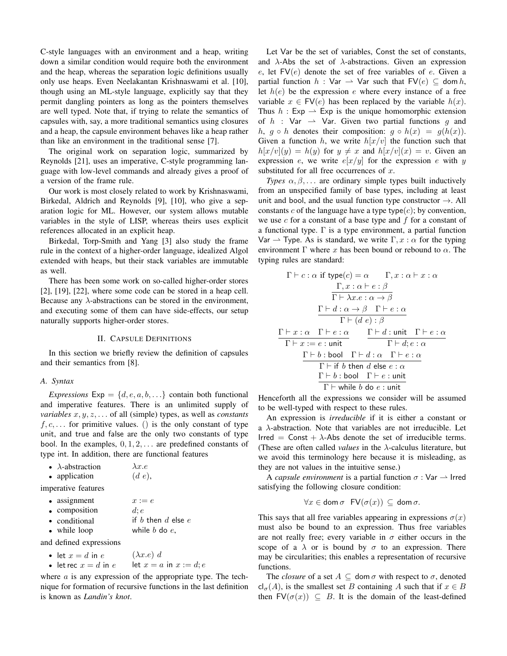C-style languages with an environment and a heap, writing down a similar condition would require both the environment and the heap, whereas the separation logic definitions usually only use heaps. Even Neelakantan Krishnaswami et al. [10], though using an ML-style language, explicitly say that they permit dangling pointers as long as the pointers themselves are well typed. Note that, if trying to relate the semantics of capsules with, say, a more traditional semantics using closures and a heap, the capsule environment behaves like a heap rather than like an environment in the traditional sense [7].

The original work on separation logic, summarized by Reynolds [21], uses an imperative, C-style programming language with low-level commands and already gives a proof of a version of the frame rule.

Our work is most closely related to work by Krishnaswami, Birkedal, Aldrich and Reynolds [9], [10], who give a separation logic for ML. However, our system allows mutable variables in the style of LISP, whereas theirs uses explicit references allocated in an explicit heap.

Birkedal, Torp-Smith and Yang [3] also study the frame rule in the context of a higher-order language, idealized Algol extended with heaps, but their stack variables are immutable as well.

There has been some work on so-called higher-order stores [2], [19], [22], where some code can be stored in a heap cell. Because any  $\lambda$ -abstractions can be stored in the environment, and executing some of them can have side-effects, our setup naturally supports higher-order stores.

#### II. CAPSULE DEFINITIONS

In this section we briefly review the definition of capsules and their semantics from [8].

## *A. Syntax*

*Expressions*  $Exp = \{d, e, a, b, \ldots\}$  contain both functional and imperative features. There is an unlimited supply of *variables* x, y, z, . . . of all (simple) types, as well as *constants*  $f, c, \ldots$  for primitive values. () is the only constant of type unit, and true and false are the only two constants of type bool. In the examples,  $0, 1, 2, \ldots$  are predefined constants of type int. In addition, there are functional features

| $\bullet$ | $\lambda$ -abstraction | $\lambda x.e$ |
|-----------|------------------------|---------------|
|           |                        |               |

|  | application | (d e), |  |  |
|--|-------------|--------|--|--|
|--|-------------|--------|--|--|

imperative features

| • assignment  | $x := e$             |
|---------------|----------------------|
| • composition | $d$ : $e$            |
| • conditional | if b then d else $e$ |
| • while loop  | while $b$ do $e$ ,   |

and defined expressions

• let  $x = d$  in  $e$   $(\lambda x.e) d$ <br>• let rec  $x = d$  in  $e$  let  $x = a$  in  $x := d$ ;  $e$ • let rec  $x = d$  in  $e$ 

where  $\alpha$  is any expression of the appropriate type. The technique for formation of recursive functions in the last definition is known as *Landin's knot*.

Let Var be the set of variables, Const the set of constants, and  $\lambda$ -Abs the set of  $\lambda$ -abstractions. Given an expression e, let  $FV(e)$  denote the set of free variables of e. Given a partial function  $h : \text{Var} \rightarrow \text{Var}$  such that  $\text{FV}(e) \subseteq \text{dom } h$ , let  $h(e)$  be the expression e where every instance of a free variable  $x \in FV(e)$  has been replaced by the variable  $h(x)$ . Thus  $h : \mathsf{Exp} \to \mathsf{Exp}$  is the unique homomorphic extension of h : Var  $\rightarrow$  Var. Given two partial functions g and h,  $g \circ h$  denotes their composition:  $g \circ h(x) = g(h(x))$ . Given a function h, we write  $h[x/v]$  the function such that  $h[x/v](y) = h(y)$  for  $y \neq x$  and  $h[x/v](x) = v$ . Given an expression e, we write  $e[x/y]$  for the expression e with y substituted for all free occurrences of  $x$ .

*Types*  $\alpha, \beta, \ldots$  are ordinary simple types built inductively from an unspecified family of base types, including at least unit and bool, and the usual function type constructor  $\rightarrow$ . All constants c of the language have a type type $(c)$ ; by convention, we use c for a constant of a base type and  $f$  for a constant of a functional type.  $\Gamma$  is a type environment, a partial function Var  $\rightarrow$  Type. As is standard, we write  $\Gamma, x : \alpha$  for the typing environment  $\Gamma$  where x has been bound or rebound to  $\alpha$ . The typing rules are standard:

$$
\Gamma \vdash c : \alpha \text{ if type}(c) = \alpha \qquad \Gamma, x : \alpha \vdash x : \alpha
$$
\n
$$
\frac{\Gamma, x : \alpha \vdash e : \beta}{\Gamma \vdash \lambda x \cdot e : \alpha \rightarrow \beta}
$$
\n
$$
\frac{\Gamma \vdash d : \alpha \rightarrow \beta \quad \Gamma \vdash e : \alpha}{\Gamma \vdash (d \ e) : \beta}
$$
\n
$$
\frac{\Gamma \vdash x : \alpha \quad \Gamma \vdash e : \alpha}{\Gamma \vdash x : = e : \text{unit}} \qquad \frac{\Gamma \vdash d : \text{unit} \quad \Gamma \vdash e : \alpha}{\Gamma \vdash d : e : \alpha}
$$
\n
$$
\frac{\Gamma \vdash b : \text{bool} \quad \Gamma \vdash d : \alpha \quad \Gamma \vdash e : \alpha}{\Gamma \vdash b : \text{bool} \quad \Gamma \vdash e : \text{unit}}
$$
\n
$$
\frac{\Gamma \vdash b : \text{bool} \quad \Gamma \vdash e : \text{unit}}{\Gamma \vdash \text{while } b \text{ do } e : \text{unit}}
$$

Henceforth all the expressions we consider will be assumed to be well-typed with respect to these rules.

An expression is *irreducible* if it is either a constant or a  $\lambda$ -abstraction. Note that variables are not irreducible. Let Irred = Const +  $\lambda$ -Abs denote the set of irreducible terms. (These are often called *values* in the  $\lambda$ -calculus literature, but we avoid this terminology here because it is misleading, as they are not values in the intuitive sense.)

A *capsule environment* is a partial function  $\sigma$  : Var  $\rightarrow$  Irred satisfying the following closure condition:

$$
\forall x \in \text{dom } \sigma \ \ \text{FV}(\sigma(x)) \subseteq \text{dom } \sigma.
$$

This says that all free variables appearing in expressions  $\sigma(x)$ must also be bound to an expression. Thus free variables are not really free; every variable in  $\sigma$  either occurs in the scope of a  $\lambda$  or is bound by  $\sigma$  to an expression. There may be circularities; this enables a representation of recursive functions.

The *closure* of a set  $A \subseteq \text{dom }\sigma$  with respect to  $\sigma$ , denoted  $cl_{\sigma}(A)$ , is the smallest set B containing A such that if  $x \in B$ then  $FV(\sigma(x)) \subseteq B$ . It is the domain of the least-defined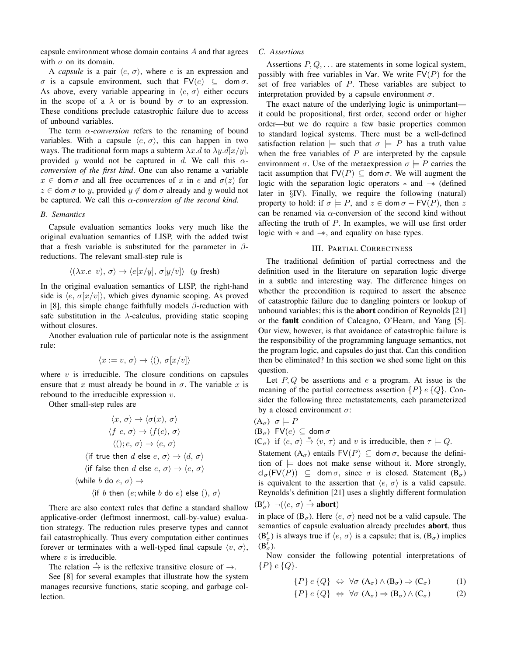capsule environment whose domain contains A and that agrees with  $\sigma$  on its domain.

A *capsule* is a pair  $\langle e, \sigma \rangle$ , where e is an expression and  $\sigma$  is a capsule environment, such that  $\mathsf{FV}(e) \subseteq \mathsf{dom}\,\sigma$ . As above, every variable appearing in  $\langle e, \sigma \rangle$  either occurs in the scope of a  $\lambda$  or is bound by  $\sigma$  to an expression. These conditions preclude catastrophic failure due to access of unbound variables.

The term  $\alpha$ -conversion refers to the renaming of bound variables. With a capsule  $\langle e, \sigma \rangle$ , this can happen in two ways. The traditional form maps a subterm  $\lambda x.d$  to  $\lambda y.d[x/y]$ , provided y would not be captured in d. We call this  $\alpha$ *conversion of the first kind*. One can also rename a variable  $x \in \text{dom}\,\sigma$  and all free occurrences of x in e and  $\sigma(z)$  for  $z \in \text{dom } \sigma$  to y, provided  $y \notin \text{dom } \sigma$  already and y would not be captured. We call this α*-conversion of the second kind*.

## *B. Semantics*

Capsule evaluation semantics looks very much like the original evaluation semantics of LISP, with the added twist that a fresh variable is substituted for the parameter in  $\beta$ reductions. The relevant small-step rule is

$$
\langle (\lambda x.e \ v), \sigma \rangle \to \langle e[x/y], \sigma[y/v] \rangle \ (y \text{ fresh})
$$

In the original evaluation semantics of LISP, the right-hand side is  $\langle e, \sigma(x/v) \rangle$ , which gives dynamic scoping. As proved in [8], this simple change faithfully models  $\beta$ -reduction with safe substitution in the  $\lambda$ -calculus, providing static scoping without closures.

Another evaluation rule of particular note is the assignment rule:

$$
\langle x := v, \sigma \rangle \to \langle (), \sigma[x/v] \rangle
$$

where  $v$  is irreducible. The closure conditions on capsules ensure that x must already be bound in  $\sigma$ . The variable x is rebound to the irreducible expression v.

Other small-step rules are

$$
\langle x, \sigma \rangle \rightarrow \langle \sigma(x), \sigma \rangle
$$

$$
\langle f c, \sigma \rangle \rightarrow \langle f(c), \sigma \rangle
$$

$$
\langle (); e, \sigma \rangle \rightarrow \langle e, \sigma \rangle
$$

$$
\langle \text{if true then } d \text{ else } e, \sigma \rangle \rightarrow \langle d, \sigma \rangle
$$

$$
\langle \text{if false then } d \text{ else } e, \sigma \rangle \rightarrow \langle e, \sigma \rangle
$$

$$
\langle \text{while } b \text{ do } e, \sigma \rangle \rightarrow
$$

$$
\langle \text{if } b \text{ then } (e; \text{while } b \text{ do } e) \text{ else } (), \sigma \rangle
$$

There are also context rules that define a standard shallow applicative-order (leftmost innermost, call-by-value) evaluation strategy. The reduction rules preserve types and cannot fail catastrophically. Thus every computation either continues forever or terminates with a well-typed final capsule  $\langle v, \sigma \rangle$ , where  $v$  is irreducible.

The relation  $\stackrel{*}{\rightarrow}$  is the reflexive transitive closure of  $\rightarrow$ .

See [8] for several examples that illustrate how the system manages recursive functions, static scoping, and garbage collection.

## *C. Assertions*

Assertions  $P, Q, \ldots$  are statements in some logical system, possibly with free variables in Var. We write  $FV(P)$  for the set of free variables of P. These variables are subject to interpretation provided by a capsule environment  $\sigma$ .

The exact nature of the underlying logic is unimportant it could be propositional, first order, second order or higher order—but we do require a few basic properties common to standard logical systems. There must be a well-defined satisfaction relation  $\models$  such that  $\sigma \models P$  has a truth value when the free variables of  $P$  are interpreted by the capsule environment  $\sigma$ . Use of the metaexpression  $\sigma \models P$  carries the tacit assumption that  $FV(P) \subseteq \text{dom }\sigma$ . We will augment the logic with the separation logic operators ∗ and −∗ (defined later in §IV). Finally, we require the following (natural) property to hold: if  $\sigma \models P$ , and  $z \in \text{dom }\sigma - \text{FV}(P)$ , then z can be renamed via  $\alpha$ -conversion of the second kind without affecting the truth of  $P$ . In examples, we will use first order logic with ∗ and −∗, and equality on base types.

#### III. PARTIAL CORRECTNESS

The traditional definition of partial correctness and the definition used in the literature on separation logic diverge in a subtle and interesting way. The difference hinges on whether the precondition is required to assert the absence of catastrophic failure due to dangling pointers or lookup of unbound variables; this is the **abort** condition of Reynolds [21] or the fault condition of Calcagno, O'Hearn, and Yang [5]. Our view, however, is that avoidance of catastrophic failure is the responsibility of the programming language semantics, not the program logic, and capsules do just that. Can this condition then be eliminated? In this section we shed some light on this question.

Let  $P, Q$  be assertions and e a program. At issue is the meaning of the partial correctness assertion  $\{P\}$  e  $\{Q\}$ . Consider the following three metastatements, each parameterized by a closed environment  $\sigma$ :

$$
(\mathbf{A}_{\sigma}) \ \sigma \models P
$$

 $(B_{\sigma})$  FV $(e) \subseteq$  dom  $\sigma$ 

 $(C_{\sigma})$  if  $\langle e, \sigma \rangle \stackrel{*}{\rightarrow} \langle v, \tau \rangle$  and v is irreducible, then  $\tau \models Q$ .

Statement  $(A_{\sigma})$  entails  $FV(P) \subseteq$  dom  $\sigma$ , because the definition of  $\models$  does not make sense without it. More strongly,  $\mathsf{cl}_{\sigma}(\mathsf{FV}(P)) \subseteq \mathsf{dom}\,\sigma, \text{ since } \sigma \text{ is closed. Statement }(\mathsf{B}_{\sigma})$ is equivalent to the assertion that  $\langle e, \sigma \rangle$  is a valid capsule. Reynolds's definition [21] uses a slightly different formulation  $(B'_{\sigma}) \neg (\langle e, \sigma \rangle \stackrel{*}{\rightarrow} \textbf{abort})$ 

in place of  $(B_{\sigma})$ . Here  $\langle e, \sigma \rangle$  need not be a valid capsule. The semantics of capsule evaluation already precludes abort, thus  $(B'_{\sigma})$  is always true if  $\langle e, \sigma \rangle$  is a capsule; that is,  $(B_{\sigma})$  implies  $(B'_{\sigma}).$ 

Now consider the following potential interpretations of  $\{P\} e \{Q\}.$ 

$$
\{P\} e \{Q\} \Leftrightarrow \forall \sigma \ (A_{\sigma}) \wedge (B_{\sigma}) \Rightarrow (C_{\sigma}) \tag{1}
$$

$$
\{P\} e \{Q\} \Leftrightarrow \forall \sigma \ (A_{\sigma}) \Rightarrow (B_{\sigma}) \wedge (C_{\sigma}) \tag{2}
$$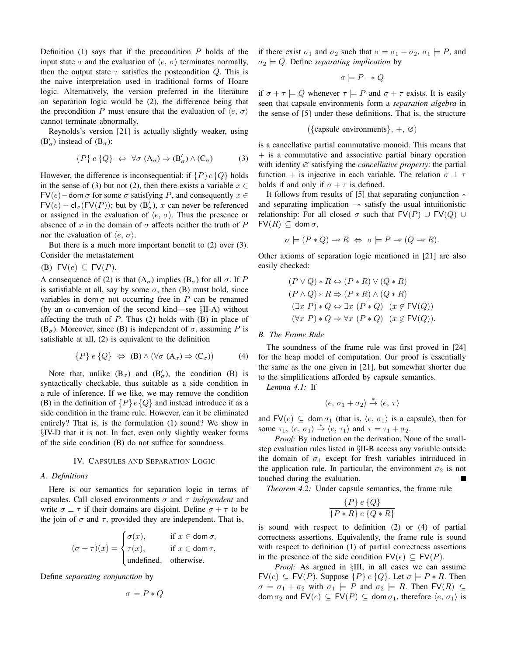Definition  $(1)$  says that if the precondition P holds of the input state  $\sigma$  and the evaluation of  $\langle e, \sigma \rangle$  terminates normally, then the output state  $\tau$  satisfies the postcondition Q. This is the naive interpretation used in traditional forms of Hoare logic. Alternatively, the version preferred in the literature on separation logic would be (2), the difference being that the precondition P must ensure that the evaluation of  $\langle e, \sigma \rangle$ cannot terminate abnormally.

Reynolds's version [21] is actually slightly weaker, using  $(B'_{\sigma})$  instead of  $(B_{\sigma})$ :

$$
\{P\} e \{Q\} \Leftrightarrow \forall \sigma \ (A_{\sigma}) \Rightarrow (B'_{\sigma}) \wedge (C_{\sigma}) \tag{3}
$$

However, the difference is inconsequential: if  $\{P\}e\{Q\}$  holds in the sense of (3) but not (2), then there exists a variable  $x \in$ FV(e) – dom  $\sigma$  for some  $\sigma$  satisfying P, and consequently  $x \in$  $FV(e) - cl_{\sigma}(FV(P));$  but by  $(B'_{\sigma}), x$  can never be referenced or assigned in the evaluation of  $\langle e, \sigma \rangle$ . Thus the presence or absence of x in the domain of  $\sigma$  affects neither the truth of P nor the evaluation of  $\langle e, \sigma \rangle$ .

But there is a much more important benefit to (2) over (3). Consider the metastatement

(B)  $\mathsf{FV}(e) \subseteq \mathsf{FV}(P)$ .

A consequence of (2) is that  $(A_{\sigma})$  implies  $(B_{\sigma})$  for all  $\sigma$ . If P is satisfiable at all, say by some  $\sigma$ , then (B) must hold, since variables in dom  $\sigma$  not occurring free in P can be renamed (by an  $\alpha$ -conversion of the second kind—see §II-A) without affecting the truth of  $P$ . Thus (2) holds with (B) in place of  $(B_{\sigma})$ . Moreover, since (B) is independent of  $\sigma$ , assuming P is satisfiable at all, (2) is equivalent to the definition

$$
\{P\} e \{Q\} \Leftrightarrow (\mathbf{B}) \wedge (\forall \sigma \ (\mathbf{A}_{\sigma}) \Rightarrow (\mathbf{C}_{\sigma})) \tag{4}
$$

Note that, unlike  $(B_{\sigma})$  and  $(B'_{\sigma})$ , the condition (B) is syntactically checkable, thus suitable as a side condition in a rule of inference. If we like, we may remove the condition (B) in the definition of  $\{P\}e\{Q\}$  and instead introduce it as a side condition in the frame rule. However, can it be eliminated entirely? That is, is the formulation (1) sound? We show in §IV-D that it is not. In fact, even only slightly weaker forms of the side condition (B) do not suffice for soundness.

## IV. CAPSULES AND SEPARATION LOGIC

#### *A. Definitions*

Here is our semantics for separation logic in terms of capsules. Call closed environments σ and τ *independent* and write  $\sigma \perp \tau$  if their domains are disjoint. Define  $\sigma + \tau$  to be the join of  $\sigma$  and  $\tau$ , provided they are independent. That is,

$$
(\sigma + \tau)(x) = \begin{cases} \sigma(x), & \text{if } x \in \text{dom } \sigma, \\ \tau(x), & \text{if } x \in \text{dom } \tau, \\ \text{undefined}, & \text{otherwise.} \end{cases}
$$

Define *separating conjunction* by

$$
\sigma \models P * Q
$$

if there exist  $\sigma_1$  and  $\sigma_2$  such that  $\sigma = \sigma_1 + \sigma_2$ ,  $\sigma_1 \models P$ , and  $\sigma_2 \models Q$ . Define *separating implication* by

$$
\sigma \models P \twoheadrightarrow Q
$$

if  $\sigma + \tau \models Q$  whenever  $\tau \models P$  and  $\sigma + \tau$  exists. It is easily seen that capsule environments form a *separation algebra* in the sense of [5] under these definitions. That is, the structure

$$
(\{\text{capsule environments}\}, +, \varnothing)
$$

is a cancellative partial commutative monoid. This means that  $+$  is a commutative and associative partial binary operation with identity ∅ satisfying the *cancellative property*: the partial function + is injective in each variable. The relation  $\sigma \perp \tau$ holds if and only if  $\sigma + \tau$  is defined.

It follows from results of [5] that separating conjunction ∗ and separating implication −∗ satisfy the usual intuitionistic relationship: For all closed  $\sigma$  such that  $\mathsf{FV}(P) \cup \mathsf{FV}(Q) \cup$  $FV(R) \subseteq$  dom  $\sigma$ ,

$$
\sigma \models (P * Q) \twoheadrightarrow R \Leftrightarrow \sigma \models P \twoheadrightarrow (Q \twoheadrightarrow R).
$$

Other axioms of separation logic mentioned in [21] are also easily checked:

$$
(P \lor Q) * R \Leftrightarrow (P * R) \lor (Q * R)
$$
  
\n
$$
(P \land Q) * R \Rightarrow (P * R) \land (Q * R)
$$
  
\n
$$
(\exists x \ P) * Q \Leftrightarrow \exists x \ (P * Q) \ (x \notin \text{FV}(Q))
$$
  
\n
$$
(\forall x \ P) * Q \Rightarrow \forall x \ (P * Q) \ (x \notin \text{FV}(Q)).
$$

#### *B. The Frame Rule*

The soundness of the frame rule was first proved in [24] for the heap model of computation. Our proof is essentially the same as the one given in [21], but somewhat shorter due to the simplifications afforded by capsule semantics.

*Lemma 4.1:* If

$$
\langle e, \, \sigma_1 + \sigma_2 \rangle \stackrel{*}{\rightarrow} \langle e, \, \tau \rangle
$$

and  $FV(e) \subseteq \text{dom }\sigma_1$  (that is,  $\langle e, \sigma_1 \rangle$  is a capsule), then for some  $\tau_1$ ,  $\langle e, \sigma_1 \rangle \stackrel{*}{\rightarrow} \langle e, \tau_1 \rangle$  and  $\tau = \tau_1 + \sigma_2$ .

*Proof:* By induction on the derivation. None of the smallstep evaluation rules listed in §II-B access any variable outside the domain of  $\sigma_1$  except for fresh variables introduced in the application rule. In particular, the environment  $\sigma_2$  is not touched during the evaluation.

*Theorem 4.2:* Under capsule semantics, the frame rule

$$
\frac{\{P\} e \{Q\}}{\{P * R\} e \{Q * R\}}
$$

is sound with respect to definition (2) or (4) of partial correctness assertions. Equivalently, the frame rule is sound with respect to definition (1) of partial correctness assertions in the presence of the side condition  $\mathsf{FV}(e) \subseteq \mathsf{FV}(P)$ .

*Proof:* As argued in §III, in all cases we can assume  $FV(e) \subseteq FV(P)$ . Suppose  $\{P\} e \{Q\}$ . Let  $\sigma \models P * R$ . Then  $\sigma = \sigma_1 + \sigma_2$  with  $\sigma_1 \models P$  and  $\sigma_2 \models R$ . Then  $\textsf{FV}(R) \subseteq$ dom  $\sigma_2$  and  $\mathsf{FV}(e) \subseteq \mathsf{FV}(P) \subseteq \mathsf{dom}\,\sigma_1$ , therefore  $\langle e, \sigma_1 \rangle$  is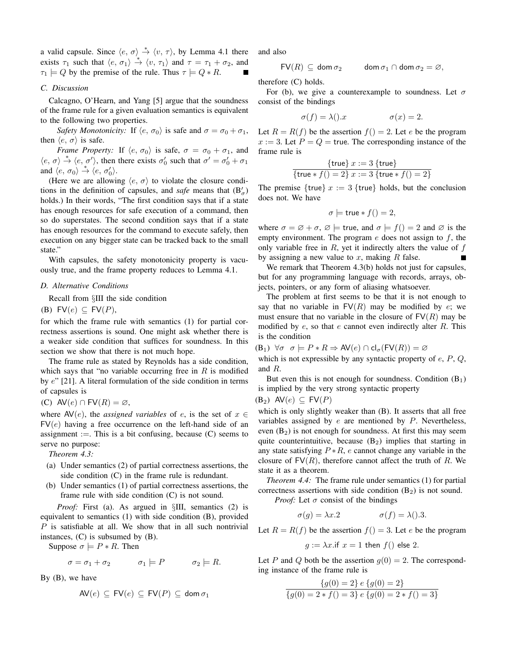a valid capsule. Since  $\langle e, \sigma \rangle \stackrel{*}{\rightarrow} \langle v, \tau \rangle$ , by Lemma 4.1 there exists  $\tau_1$  such that  $\langle e, \sigma_1 \rangle \stackrel{*}{\rightarrow} \langle v, \tau_1 \rangle$  and  $\tau = \tau_1 + \sigma_2$ , and  $\tau_1 \models Q$  by the premise of the rule. Thus  $\tau \models Q * R$ .

# *C. Discussion*

Calcagno, O'Hearn, and Yang [5] argue that the soundness of the frame rule for a given evaluation semantics is equivalent to the following two properties.

*Safety Monotonicity:* If  $\langle e, \sigma_0 \rangle$  is safe and  $\sigma = \sigma_0 + \sigma_1$ , then  $\langle e, \sigma \rangle$  is safe.

*Frame Property:* If  $\langle e, \sigma_0 \rangle$  is safe,  $\sigma = \sigma_0 + \sigma_1$ , and  $\langle e, \sigma \rangle \stackrel{*}{\rightarrow} \langle e, \sigma' \rangle$ , then there exists  $\sigma'_0$  such that  $\sigma' = \sigma'_0 + \sigma_1$ and  $\langle e, \sigma_0 \rangle \stackrel{*}{\rightarrow} \langle e, \sigma'_0 \rangle$ .

(Here we are allowing  $\langle e, \sigma \rangle$  to violate the closure conditions in the definition of capsules, and *safe* means that  $(B'_\sigma)$ holds.) In their words, "The first condition says that if a state has enough resources for safe execution of a command, then so do superstates. The second condition says that if a state has enough resources for the command to execute safely, then execution on any bigger state can be tracked back to the small state."

With capsules, the safety monotonicity property is vacuously true, and the frame property reduces to Lemma 4.1.

# *D. Alternative Conditions*

Recall from §III the side condition

(B)  $FV(e) \subseteq FV(P)$ ,

for which the frame rule with semantics (1) for partial correctness assertions is sound. One might ask whether there is a weaker side condition that suffices for soundness. In this section we show that there is not much hope.

The frame rule as stated by Reynolds has a side condition, which says that "no variable occurring free in  $R$  is modified by e" [21]. A literal formulation of the side condition in terms of capsules is

(C) 
$$
AV(e) \cap FV(R) = \emptyset
$$
,

where  $AV(e)$ , the *assigned variables* of e, is the set of  $x \in$  $FV(e)$  having a free occurrence on the left-hand side of an assignment :=. This is a bit confusing, because  $(C)$  seems to serve no purpose:

*Theorem 4.3:*

- (a) Under semantics (2) of partial correctness assertions, the side condition (C) in the frame rule is redundant.
- (b) Under semantics (1) of partial correctness assertions, the frame rule with side condition (C) is not sound.

*Proof:* First (a). As argued in §III, semantics (2) is equivalent to semantics (1) with side condition (B), provided P is satisfiable at all. We show that in all such nontrivial instances, (C) is subsumed by (B).

Suppose  $\sigma \models P * R$ . Then

$$
\sigma = \sigma_1 + \sigma_2 \qquad \sigma_1 \models P \qquad \sigma_2 \models R.
$$

By (B), we have

$$
\mathsf{AV}(e) \subseteq \mathsf{FV}(e) \subseteq \mathsf{FV}(P) \subseteq \mathsf{dom}\,\sigma_1
$$

and also

$$
\mathsf{FV}(R) \,\subseteq \, \mathsf{dom}\, \sigma_2 \qquad \quad \mathsf{dom}\, \sigma_1 \cap \mathsf{dom}\, \sigma_2 = \varnothing,
$$

therefore (C) holds.

For (b), we give a counterexample to soundness. Let  $\sigma$ consist of the bindings

$$
\sigma(f) = \lambda(.) \cdot x \qquad \sigma(x) = 2.
$$

Let  $R = R(f)$  be the assertion  $f() = 2$ . Let e be the program  $x := 3$ . Let  $P = Q =$  true. The corresponding instance of the frame rule is

$$
{\{true\} x := 3 \{true\} \over {\{true * f() = 2\} x := 3 \{true * f() = 2\}}}
$$

The premise  $\{true\}$   $x := 3$   $\{true\}$  holds, but the conclusion does not. We have

$$
\sigma \models \text{true} * f() = 2,
$$

where  $\sigma = \emptyset + \sigma$ ,  $\emptyset$  = true, and  $\sigma = f() = 2$  and  $\emptyset$  is the empty environment. The program  $e$  does not assign to  $f$ , the only variable free in  $R$ , yet it indirectly alters the value of  $f$ by assigning a new value to  $x$ , making  $R$  false.

We remark that Theorem 4.3(b) holds not just for capsules, but for any programming language with records, arrays, objects, pointers, or any form of aliasing whatsoever.

The problem at first seems to be that it is not enough to say that no variable in  $FV(R)$  may be modified by e; we must ensure that no variable in the closure of  $FV(R)$  may be modified by  $e$ , so that  $e$  cannot even indirectly alter  $R$ . This is the condition

$$
(\mathsf{B}_1) \ \forall \sigma \ \sigma \models P * R \Rightarrow \mathsf{AV}(e) \cap \mathsf{cl}_{\sigma}(\mathsf{FV}(R)) = \varnothing
$$

which is not expressible by any syntactic property of  $e$ ,  $P$ ,  $Q$ , and R.

But even this is not enough for soundness. Condition  $(B_1)$ is implied by the very strong syntactic property

$$
(B_2) \quad AV(e) \subseteq FV(P)
$$

which is only slightly weaker than (B). It asserts that all free variables assigned by  $e$  are mentioned by  $P$ . Nevertheless, even  $(B_2)$  is not enough for soundness. At first this may seem quite counterintuitive, because  $(B_2)$  implies that starting in any state satisfying  $P * R$ , e cannot change any variable in the closure of  $FV(R)$ , therefore cannot affect the truth of R. We state it as a theorem.

*Theorem 4.4:* The frame rule under semantics (1) for partial correctness assertions with side condition  $(B_2)$  is not sound. *Proof:* Let  $\sigma$  consist of the bindings

 $\sigma(g) = \lambda x.2$   $\sigma(f) = \lambda(.)$ .3.

Let  $R = R(f)$  be the assertion  $f() = 3$ . Let e be the program

 $q := \lambda x$ .if  $x = 1$  then  $f()$  else 2.

Let P and Q both be the assertion  $g(0) = 2$ . The corresponding instance of the frame rule is

$$
\frac{\{g(0) = 2\} e \{g(0) = 2\}}{\{g(0) = 2 * f() = 3\} e \{g(0) = 2 * f() = 3\}}
$$